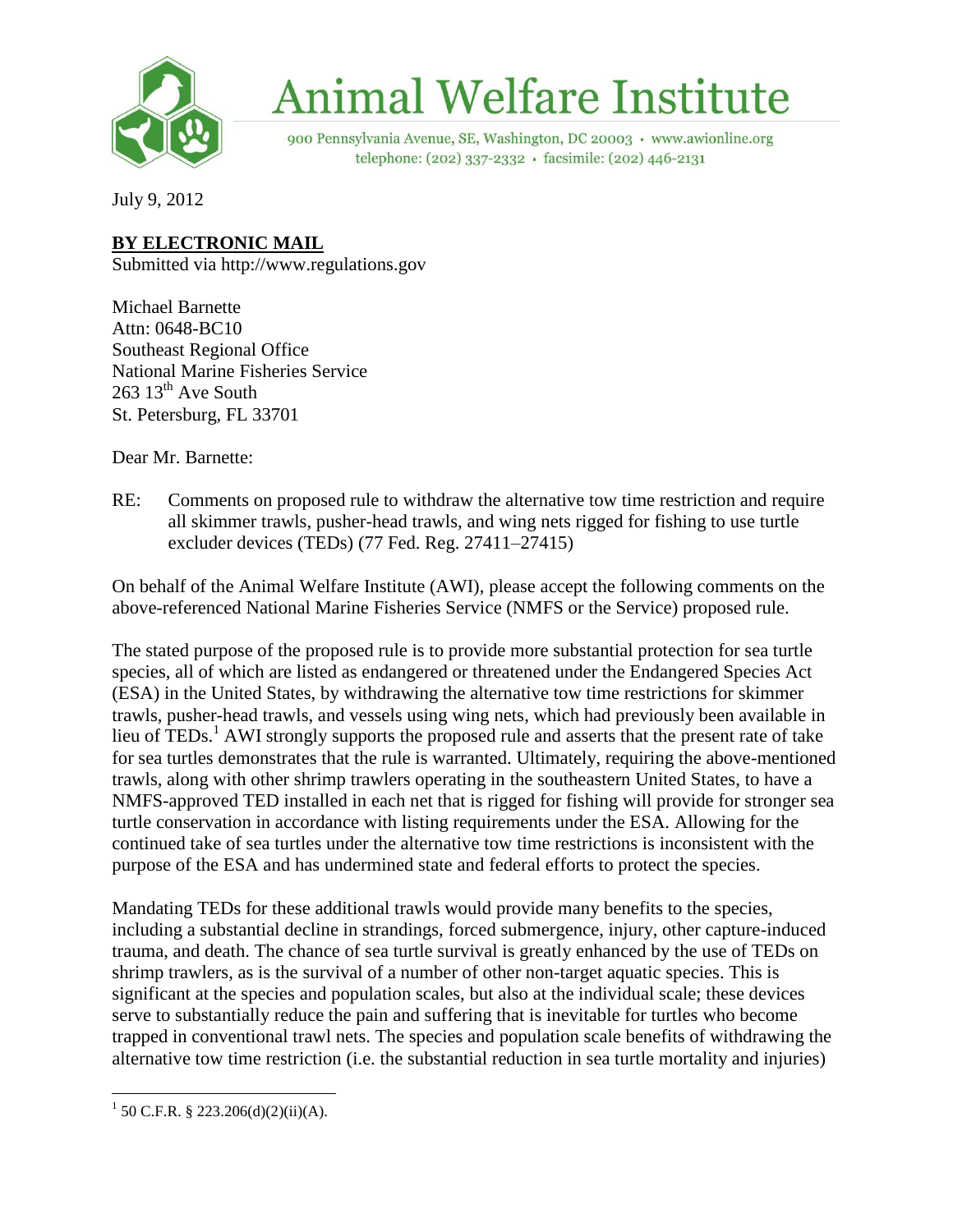

# **Animal Welfare Institute**

900 Pennsylvania Avenue, SE, Washington, DC 20003 · www.awionline.org telephone: (202) 337-2332 · facsimile: (202) 446-2131

July 9, 2012

# **BY ELECTRONIC MAIL**

Submitted via http://www.regulations.gov

Michael Barnette Attn: 0648-BC10 Southeast Regional Office National Marine Fisheries Service  $263$   $13^{\text{th}}$  Ave South St. Petersburg, FL 33701

Dear Mr. Barnette:

RE: Comments on proposed rule to withdraw the alternative tow time restriction and require all skimmer trawls, pusher-head trawls, and wing nets rigged for fishing to use turtle excluder devices (TEDs) (77 Fed. Reg. 27411–27415)

On behalf of the Animal Welfare Institute (AWI), please accept the following comments on the above-referenced National Marine Fisheries Service (NMFS or the Service) proposed rule.

The stated purpose of the proposed rule is to provide more substantial protection for sea turtle species, all of which are listed as endangered or threatened under the Endangered Species Act (ESA) in the United States, by withdrawing the alternative tow time restrictions for skimmer trawls, pusher-head trawls, and vessels using wing nets, which had previously been available in lieu of TEDs.<sup>1</sup> AWI strongly supports the proposed rule and asserts that the present rate of take for sea turtles demonstrates that the rule is warranted. Ultimately, requiring the above-mentioned trawls, along with other shrimp trawlers operating in the southeastern United States, to have a NMFS-approved TED installed in each net that is rigged for fishing will provide for stronger sea turtle conservation in accordance with listing requirements under the ESA. Allowing for the continued take of sea turtles under the alternative tow time restrictions is inconsistent with the purpose of the ESA and has undermined state and federal efforts to protect the species.

Mandating TEDs for these additional trawls would provide many benefits to the species, including a substantial decline in strandings, forced submergence, injury, other capture-induced trauma, and death. The chance of sea turtle survival is greatly enhanced by the use of TEDs on shrimp trawlers, as is the survival of a number of other non-target aquatic species. This is significant at the species and population scales, but also at the individual scale; these devices serve to substantially reduce the pain and suffering that is inevitable for turtles who become trapped in conventional trawl nets. The species and population scale benefits of withdrawing the alternative tow time restriction (i.e. the substantial reduction in sea turtle mortality and injuries)

 $\overline{\phantom{a}}$  $1$  50 C.F.R. § 223.206(d)(2)(ii)(A).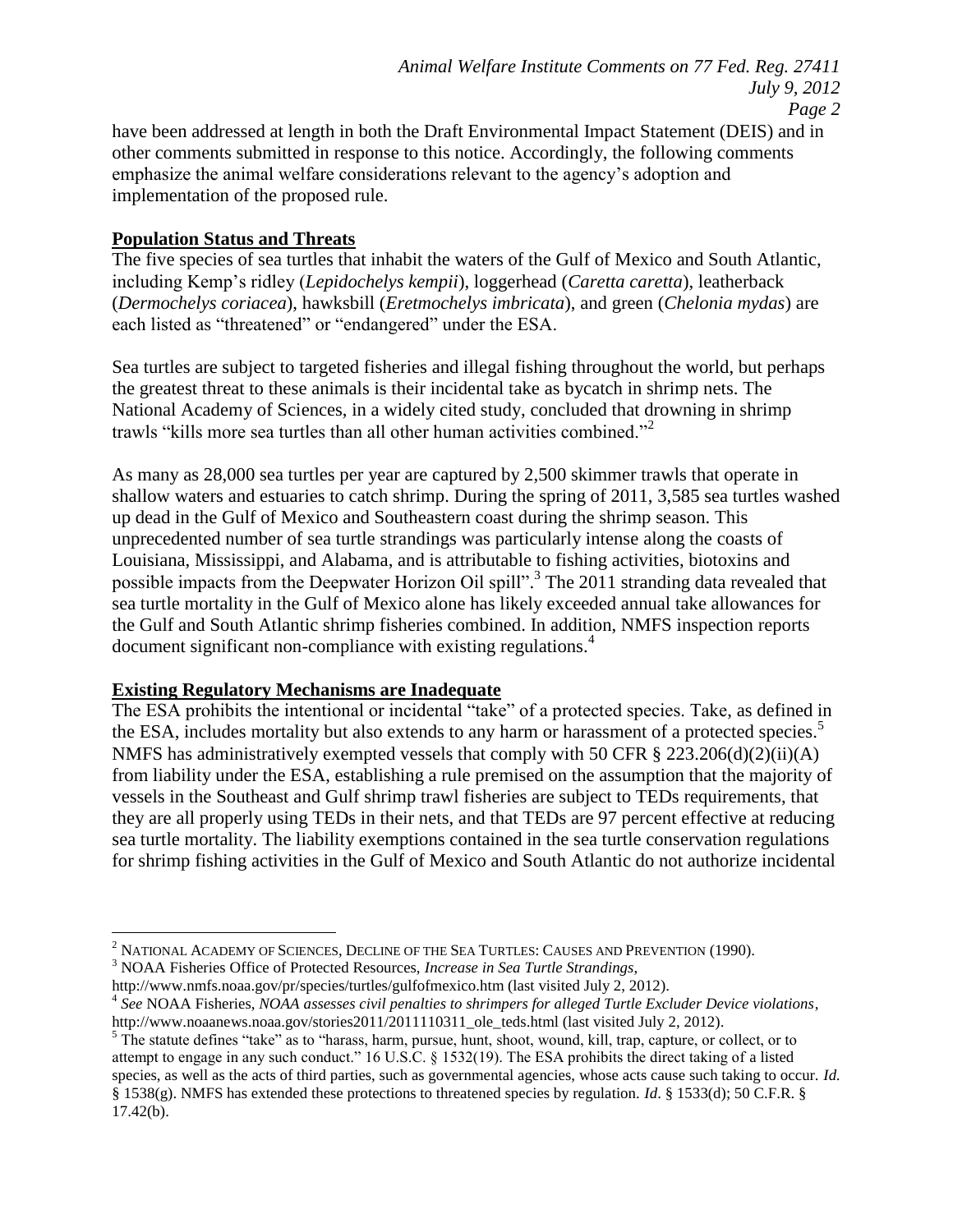have been addressed at length in both the Draft Environmental Impact Statement (DEIS) and in other comments submitted in response to this notice. Accordingly, the following comments emphasize the animal welfare considerations relevant to the agency's adoption and implementation of the proposed rule.

#### **Population Status and Threats**

The five species of sea turtles that inhabit the waters of the Gulf of Mexico and South Atlantic, including Kemp's ridley (*Lepidochelys kempii*), loggerhead (*Caretta caretta*), leatherback (*Dermochelys coriacea*), hawksbill (*Eretmochelys imbricata*), and green (*Chelonia mydas*) are each listed as "threatened" or "endangered" under the ESA.

Sea turtles are subject to targeted fisheries and illegal fishing throughout the world, but perhaps the greatest threat to these animals is their incidental take as bycatch in shrimp nets. The National Academy of Sciences, in a widely cited study, concluded that drowning in shrimp trawls "kills more sea turtles than all other human activities combined."<sup>2</sup>

As many as 28,000 sea turtles per year are captured by 2,500 skimmer trawls that operate in shallow waters and estuaries to catch shrimp. During the spring of 2011, 3,585 sea turtles washed up dead in the Gulf of Mexico and Southeastern coast during the shrimp season. This unprecedented number of sea turtle strandings was particularly intense along the coasts of Louisiana, Mississippi, and Alabama, and is attributable to fishing activities, biotoxins and possible impacts from the Deepwater Horizon Oil spill".<sup>3</sup> The 2011 stranding data revealed that sea turtle mortality in the Gulf of Mexico alone has likely exceeded annual take allowances for the Gulf and South Atlantic shrimp fisheries combined. In addition, NMFS inspection reports document significant non-compliance with existing regulations.<sup>4</sup>

### **Existing Regulatory Mechanisms are Inadequate**

 $\overline{\phantom{a}}$ 

The ESA prohibits the intentional or incidental "take" of a protected species. Take, as defined in the ESA, includes mortality but also extends to any harm or harassment of a protected species.<sup>5</sup> NMFS has administratively exempted vessels that comply with 50 CFR § 223.206(d)(2)(ii)(A) from liability under the ESA, establishing a rule premised on the assumption that the majority of vessels in the Southeast and Gulf shrimp trawl fisheries are subject to TEDs requirements, that they are all properly using TEDs in their nets, and that TEDs are 97 percent effective at reducing sea turtle mortality. The liability exemptions contained in the sea turtle conservation regulations for shrimp fishing activities in the Gulf of Mexico and South Atlantic do not authorize incidental

<sup>3</sup> NOAA Fisheries Office of Protected Resources, *Increase in Sea Turtle Strandings*,

http://www.nmfs.noaa.gov/pr/species/turtles/gulfofmexico.htm (last visited July 2, 2012).

<sup>2</sup> NATIONAL ACADEMY OF SCIENCES, DECLINE OF THE SEA TURTLES: CAUSES AND PREVENTION (1990).

<sup>4</sup> *See* NOAA Fisheries, *NOAA assesses civil penalties to shrimpers for alleged Turtle Excluder Device violations*, http://www.noaanews.noaa.gov/stories2011/2011110311\_ole\_teds.html (last visited July 2, 2012).

 $5$  The statute defines "take" as to "harass, harm, pursue, hunt, shoot, wound, kill, trap, capture, or collect, or to attempt to engage in any such conduct." 16 U.S.C. § 1532(19). The ESA prohibits the direct taking of a listed species, as well as the acts of third parties, such as governmental agencies, whose acts cause such taking to occur. *Id.*  § 1538(g). NMFS has extended these protections to threatened species by regulation. *Id*. § 1533(d); 50 C.F.R. § 17.42(b).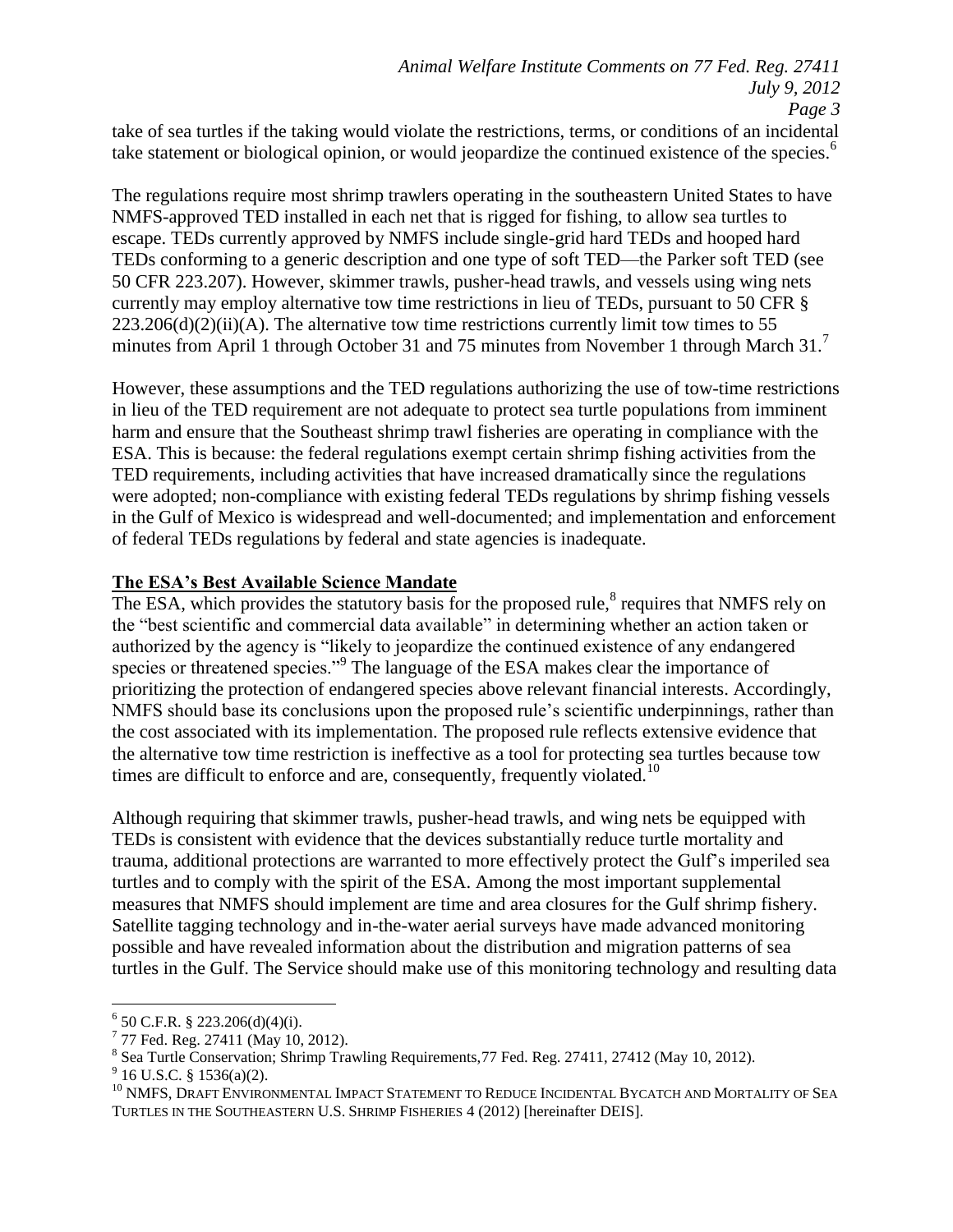take of sea turtles if the taking would violate the restrictions, terms, or conditions of an incidental take statement or biological opinion, or would jeopardize the continued existence of the species.<sup>6</sup>

The regulations require most shrimp trawlers operating in the southeastern United States to have NMFS-approved TED installed in each net that is rigged for fishing, to allow sea turtles to escape. TEDs currently approved by NMFS include single-grid hard TEDs and hooped hard TEDs conforming to a generic description and one type of soft TED—the Parker soft TED (see 50 CFR 223.207). However, skimmer trawls, pusher-head trawls, and vessels using wing nets currently may employ alternative tow time restrictions in lieu of TEDs, pursuant to 50 CFR §  $223.206(d)(2)(ii)(A)$ . The alternative tow time restrictions currently limit tow times to 55 minutes from April 1 through October 31 and 75 minutes from November 1 through March 31.<sup>7</sup>

However, these assumptions and the TED regulations authorizing the use of tow-time restrictions in lieu of the TED requirement are not adequate to protect sea turtle populations from imminent harm and ensure that the Southeast shrimp trawl fisheries are operating in compliance with the ESA. This is because: the federal regulations exempt certain shrimp fishing activities from the TED requirements, including activities that have increased dramatically since the regulations were adopted; non-compliance with existing federal TEDs regulations by shrimp fishing vessels in the Gulf of Mexico is widespread and well-documented; and implementation and enforcement of federal TEDs regulations by federal and state agencies is inadequate.

# **The ESA's Best Available Science Mandate**

The ESA, which provides the statutory basis for the proposed rule, ${}^{8}$  requires that NMFS rely on the "best scientific and commercial data available" in determining whether an action taken or authorized by the agency is "likely to jeopardize the continued existence of any endangered species or threatened species."<sup>9</sup> The language of the ESA makes clear the importance of prioritizing the protection of endangered species above relevant financial interests. Accordingly, NMFS should base its conclusions upon the proposed rule's scientific underpinnings, rather than the cost associated with its implementation. The proposed rule reflects extensive evidence that the alternative tow time restriction is ineffective as a tool for protecting sea turtles because tow times are difficult to enforce and are, consequently, frequently violated.<sup>10</sup>

Although requiring that skimmer trawls, pusher-head trawls, and wing nets be equipped with TEDs is consistent with evidence that the devices substantially reduce turtle mortality and trauma, additional protections are warranted to more effectively protect the Gulf's imperiled sea turtles and to comply with the spirit of the ESA. Among the most important supplemental measures that NMFS should implement are time and area closures for the Gulf shrimp fishery. Satellite tagging technology and in-the-water aerial surveys have made advanced monitoring possible and have revealed information about the distribution and migration patterns of sea turtles in the Gulf. The Service should make use of this monitoring technology and resulting data

 6 50 C.F.R. § 223.206(d)(4)(i).

<sup>&</sup>lt;sup>7</sup> 77 Fed. Reg. 27411 (May 10, 2012).

<sup>&</sup>lt;sup>8</sup> Sea Turtle Conservation; Shrimp Trawling Requirements, 77 Fed. Reg. 27411, 27412 (May 10, 2012).

 $9^9$  16 U.S.C. § 1536(a)(2).

<sup>&</sup>lt;sup>10</sup> NMFS. DRAFT ENVIRONMENTAL IMPACT STATEMENT TO REDUCE INCIDENTAL BYCATCH AND MORTALITY OF SEA TURTLES IN THE SOUTHEASTERN U.S. SHRIMP FISHERIES 4 (2012) [hereinafter DEIS].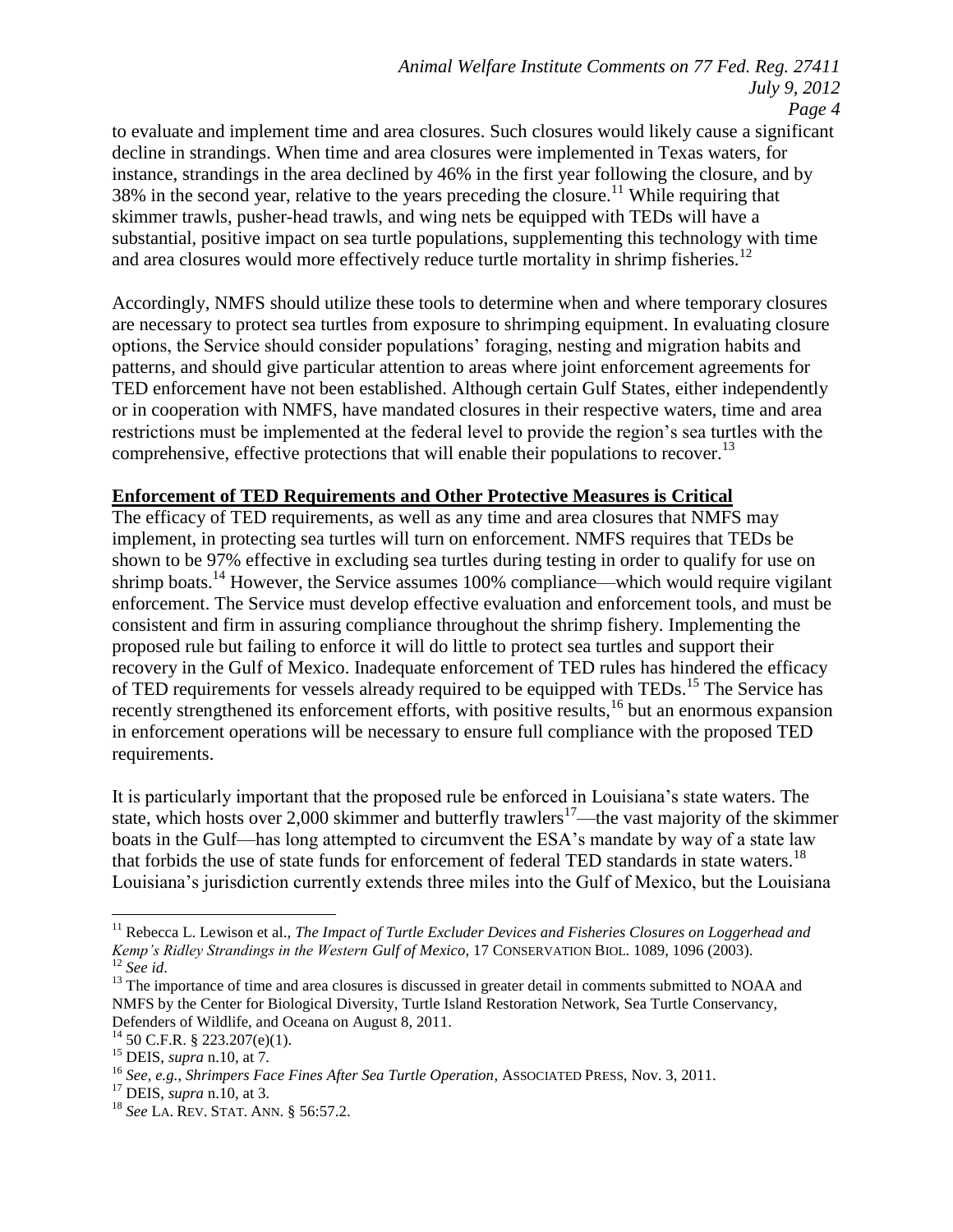to evaluate and implement time and area closures. Such closures would likely cause a significant decline in strandings. When time and area closures were implemented in Texas waters, for instance, strandings in the area declined by 46% in the first year following the closure, and by 38% in the second year, relative to the years preceding the closure.<sup>11</sup> While requiring that skimmer trawls, pusher-head trawls, and wing nets be equipped with TEDs will have a substantial, positive impact on sea turtle populations, supplementing this technology with time and area closures would more effectively reduce turtle mortality in shrimp fisheries.<sup>12</sup>

Accordingly, NMFS should utilize these tools to determine when and where temporary closures are necessary to protect sea turtles from exposure to shrimping equipment. In evaluating closure options, the Service should consider populations' foraging, nesting and migration habits and patterns, and should give particular attention to areas where joint enforcement agreements for TED enforcement have not been established. Although certain Gulf States, either independently or in cooperation with NMFS, have mandated closures in their respective waters, time and area restrictions must be implemented at the federal level to provide the region's sea turtles with the comprehensive, effective protections that will enable their populations to recover.<sup>13</sup>

#### **Enforcement of TED Requirements and Other Protective Measures is Critical**

The efficacy of TED requirements, as well as any time and area closures that NMFS may implement, in protecting sea turtles will turn on enforcement. NMFS requires that TEDs be shown to be 97% effective in excluding sea turtles during testing in order to qualify for use on shrimp boats.<sup>14</sup> However, the Service assumes 100% compliance—which would require vigilant enforcement. The Service must develop effective evaluation and enforcement tools, and must be consistent and firm in assuring compliance throughout the shrimp fishery. Implementing the proposed rule but failing to enforce it will do little to protect sea turtles and support their recovery in the Gulf of Mexico. Inadequate enforcement of TED rules has hindered the efficacy of TED requirements for vessels already required to be equipped with TEDs.<sup>15</sup> The Service has recently strengthened its enforcement efforts, with positive results,<sup>16</sup> but an enormous expansion in enforcement operations will be necessary to ensure full compliance with the proposed TED requirements.

It is particularly important that the proposed rule be enforced in Louisiana's state waters. The state, which hosts over 2,000 skimmer and butterfly trawlers<sup>17</sup>—the vast majority of the skimmer boats in the Gulf—has long attempted to circumvent the ESA's mandate by way of a state law that forbids the use of state funds for enforcement of federal TED standards in state waters.<sup>18</sup> Louisiana's jurisdiction currently extends three miles into the Gulf of Mexico, but the Louisiana

 $\overline{\phantom{a}}$ <sup>11</sup> Rebecca L. Lewison et al., *The Impact of Turtle Excluder Devices and Fisheries Closures on Loggerhead and Kemp's Ridley Strandings in the Western Gulf of Mexico*, 17 CONSERVATION BIOL. 1089, 1096 (2003). <sup>12</sup> *See id*.

<sup>&</sup>lt;sup>13</sup> The importance of time and area closures is discussed in greater detail in comments submitted to NOAA and NMFS by the Center for Biological Diversity, Turtle Island Restoration Network, Sea Turtle Conservancy, Defenders of Wildlife, and Oceana on August 8, 2011.

<sup>14</sup> 50 C.F.R. § 223.207(e)(1).

<sup>15</sup> DEIS, *supra* n.10, at 7.

<sup>16</sup> *See, e.g.*, *Shrimpers Face Fines After Sea Turtle Operation*, ASSOCIATED PRESS, Nov. 3, 2011.

<sup>17</sup> DEIS, *supra* n.10, at 3.

<sup>18</sup> *See* LA. REV. STAT. ANN. § 56:57.2.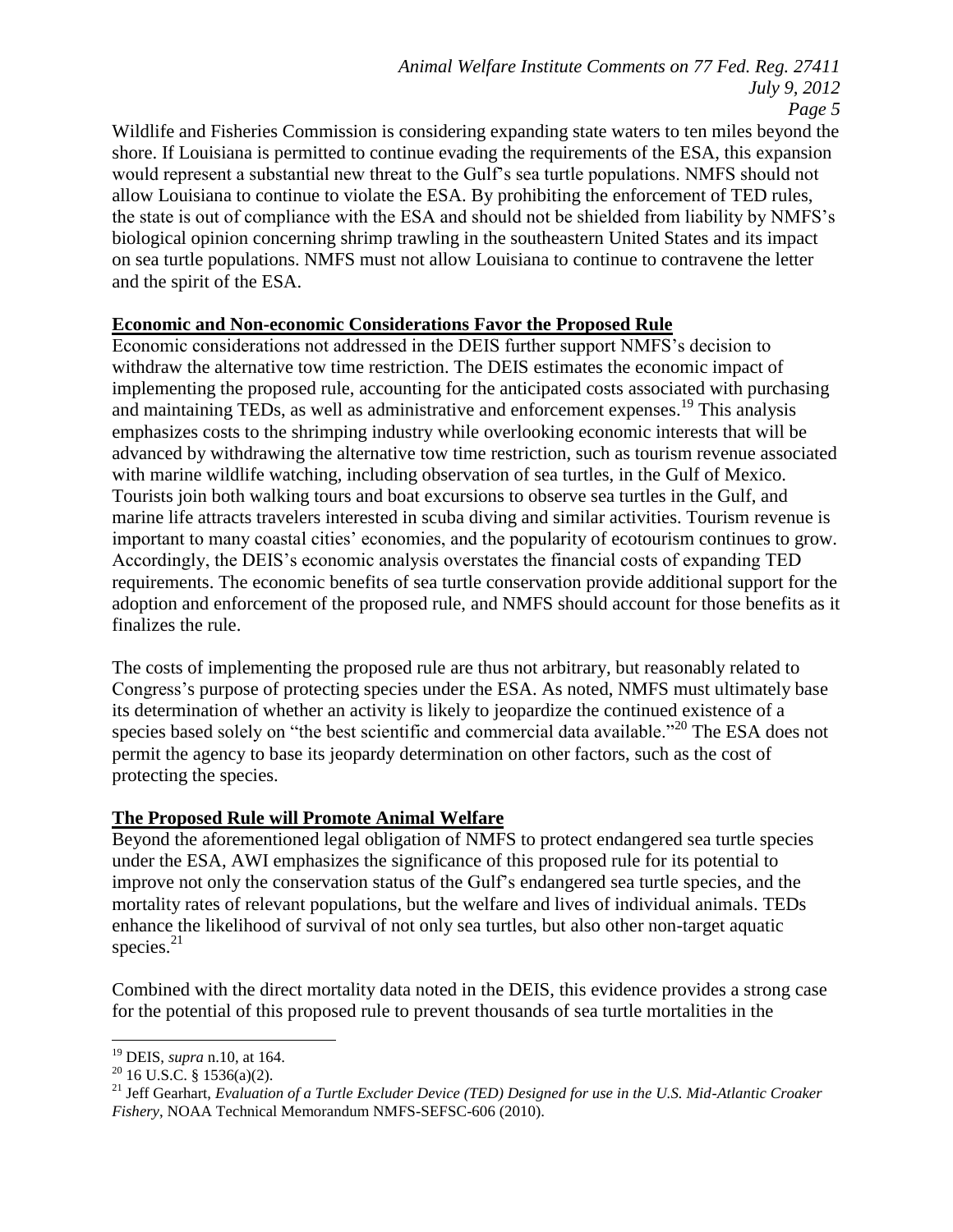Wildlife and Fisheries Commission is considering expanding state waters to ten miles beyond the shore. If Louisiana is permitted to continue evading the requirements of the ESA, this expansion would represent a substantial new threat to the Gulf's sea turtle populations. NMFS should not allow Louisiana to continue to violate the ESA. By prohibiting the enforcement of TED rules, the state is out of compliance with the ESA and should not be shielded from liability by NMFS's biological opinion concerning shrimp trawling in the southeastern United States and its impact on sea turtle populations. NMFS must not allow Louisiana to continue to contravene the letter and the spirit of the ESA.

# **Economic and Non-economic Considerations Favor the Proposed Rule**

Economic considerations not addressed in the DEIS further support NMFS's decision to withdraw the alternative tow time restriction. The DEIS estimates the economic impact of implementing the proposed rule, accounting for the anticipated costs associated with purchasing and maintaining TEDs, as well as administrative and enforcement expenses.<sup>19</sup> This analysis emphasizes costs to the shrimping industry while overlooking economic interests that will be advanced by withdrawing the alternative tow time restriction, such as tourism revenue associated with marine wildlife watching, including observation of sea turtles, in the Gulf of Mexico. Tourists join both walking tours and boat excursions to observe sea turtles in the Gulf, and marine life attracts travelers interested in scuba diving and similar activities. Tourism revenue is important to many coastal cities' economies, and the popularity of ecotourism continues to grow. Accordingly, the DEIS's economic analysis overstates the financial costs of expanding TED requirements. The economic benefits of sea turtle conservation provide additional support for the adoption and enforcement of the proposed rule, and NMFS should account for those benefits as it finalizes the rule.

The costs of implementing the proposed rule are thus not arbitrary, but reasonably related to Congress's purpose of protecting species under the ESA. As noted, NMFS must ultimately base its determination of whether an activity is likely to jeopardize the continued existence of a species based solely on "the best scientific and commercial data available."<sup>20</sup> The ESA does not permit the agency to base its jeopardy determination on other factors, such as the cost of protecting the species.

### **The Proposed Rule will Promote Animal Welfare**

Beyond the aforementioned legal obligation of NMFS to protect endangered sea turtle species under the ESA, AWI emphasizes the significance of this proposed rule for its potential to improve not only the conservation status of the Gulf's endangered sea turtle species, and the mortality rates of relevant populations, but the welfare and lives of individual animals. TEDs enhance the likelihood of survival of not only sea turtles, but also other non-target aquatic species. $^{21}$ 

Combined with the direct mortality data noted in the DEIS, this evidence provides a strong case for the potential of this proposed rule to prevent thousands of sea turtle mortalities in the

 $\overline{\phantom{a}}$ <sup>19</sup> DEIS, *supra* n.10, at 164.

 $20$  16 U.S.C. § 1536(a)(2).

<sup>21</sup> Jeff Gearhart, *Evaluation of a Turtle Excluder Device (TED) Designed for use in the U.S. Mid-Atlantic Croaker Fishery*, NOAA Technical Memorandum NMFS-SEFSC-606 (2010).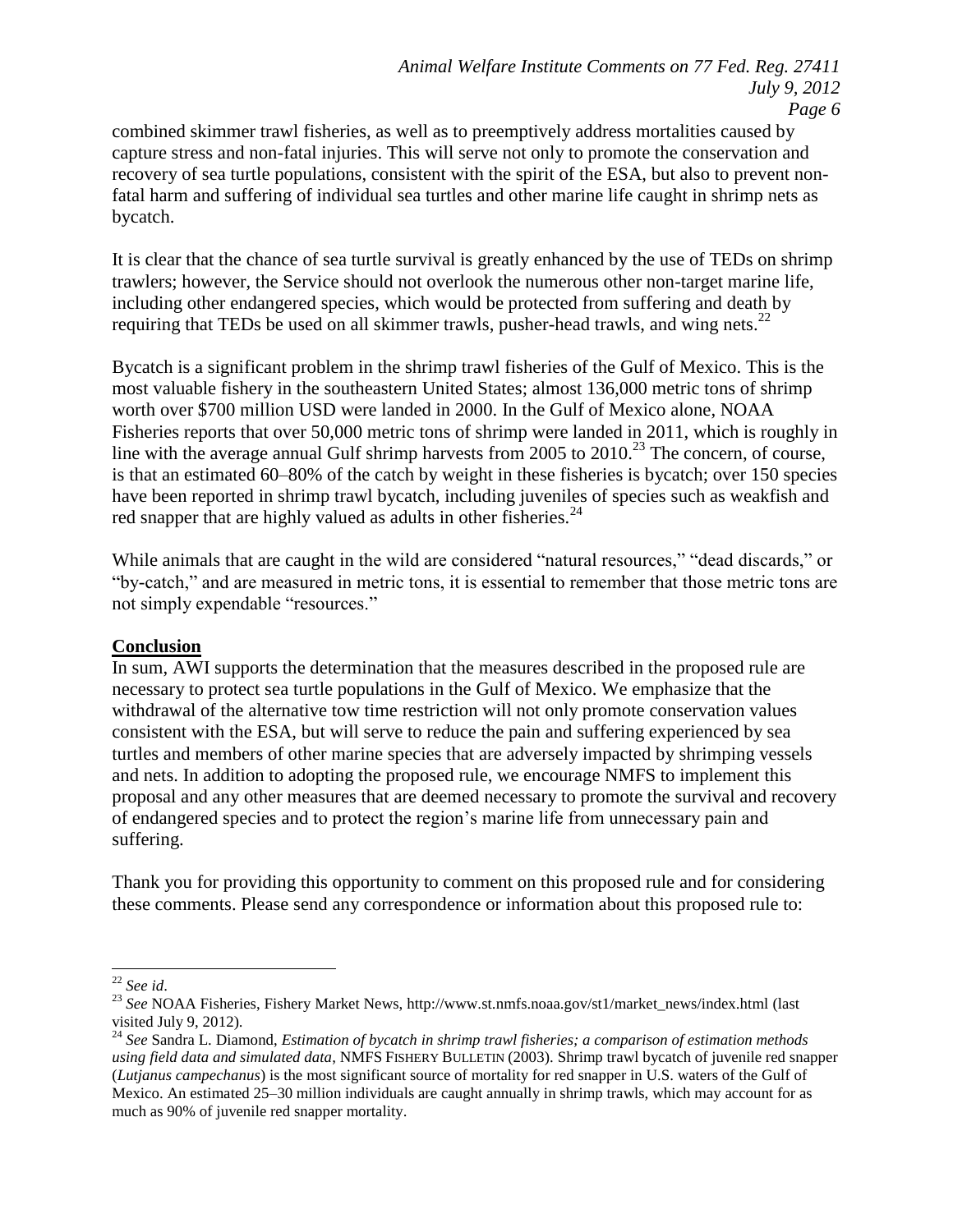combined skimmer trawl fisheries, as well as to preemptively address mortalities caused by capture stress and non-fatal injuries. This will serve not only to promote the conservation and recovery of sea turtle populations, consistent with the spirit of the ESA, but also to prevent nonfatal harm and suffering of individual sea turtles and other marine life caught in shrimp nets as bycatch.

It is clear that the chance of sea turtle survival is greatly enhanced by the use of TEDs on shrimp trawlers; however, the Service should not overlook the numerous other non-target marine life, including other endangered species, which would be protected from suffering and death by requiring that TEDs be used on all skimmer trawls, pusher-head trawls, and wing nets.<sup>22</sup>

Bycatch is a significant problem in the shrimp trawl fisheries of the Gulf of Mexico. This is the most valuable fishery in the southeastern United States; almost 136,000 metric tons of shrimp worth over \$700 million USD were landed in 2000. In the Gulf of Mexico alone, NOAA Fisheries reports that over 50,000 metric tons of shrimp were landed in 2011, which is roughly in line with the average annual Gulf shrimp harvests from 2005 to 2010.<sup>23</sup> The concern, of course, is that an estimated 60–80% of the catch by weight in these fisheries is bycatch; over 150 species have been reported in shrimp trawl bycatch, including juveniles of species such as weakfish and red snapper that are highly valued as adults in other fisheries.<sup>24</sup>

While animals that are caught in the wild are considered "natural resources," "dead discards," or "by-catch," and are measured in metric tons, it is essential to remember that those metric tons are not simply expendable "resources."

#### **Conclusion**

In sum, AWI supports the determination that the measures described in the proposed rule are necessary to protect sea turtle populations in the Gulf of Mexico. We emphasize that the withdrawal of the alternative tow time restriction will not only promote conservation values consistent with the ESA, but will serve to reduce the pain and suffering experienced by sea turtles and members of other marine species that are adversely impacted by shrimping vessels and nets. In addition to adopting the proposed rule, we encourage NMFS to implement this proposal and any other measures that are deemed necessary to promote the survival and recovery of endangered species and to protect the region's marine life from unnecessary pain and suffering.

Thank you for providing this opportunity to comment on this proposed rule and for considering these comments. Please send any correspondence or information about this proposed rule to:

 $\overline{a}$ <sup>22</sup> *See id*.

<sup>23</sup> *See* NOAA Fisheries, Fishery Market News, http://www.st.nmfs.noaa.gov/st1/market\_news/index.html (last visited July 9, 2012).

<sup>24</sup> *See* Sandra L. Diamond, *Estimation of bycatch in shrimp trawl fisheries; a comparison of estimation methods using field data and simulated data*, NMFS FISHERY BULLETIN (2003). Shrimp trawl bycatch of juvenile red snapper (*Lutjanus campechanus*) is the most significant source of mortality for red snapper in U.S. waters of the Gulf of Mexico. An estimated 25–30 million individuals are caught annually in shrimp trawls, which may account for as much as 90% of juvenile red snapper mortality.